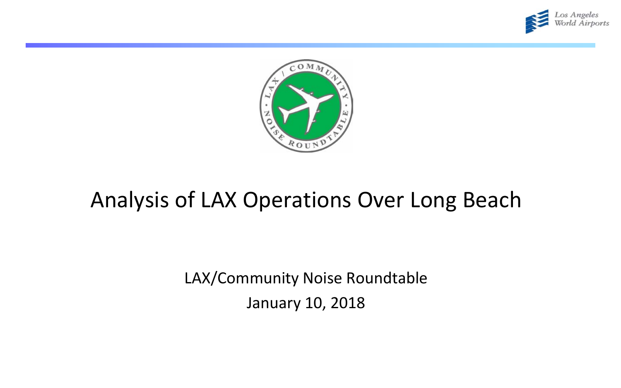



# Analysis of LAX Operations Over Long Beach

LAX/Community Noise Roundtable January 10, 2018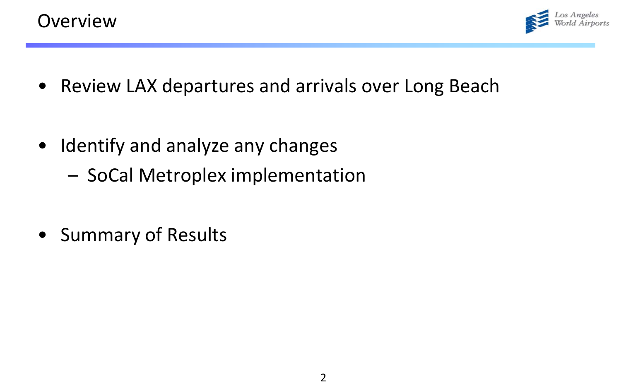

- Review LAX departures and arrivals over Long Beach
- Identify and analyze any changes
	- SoCal Metroplex implementation
- Summary of Results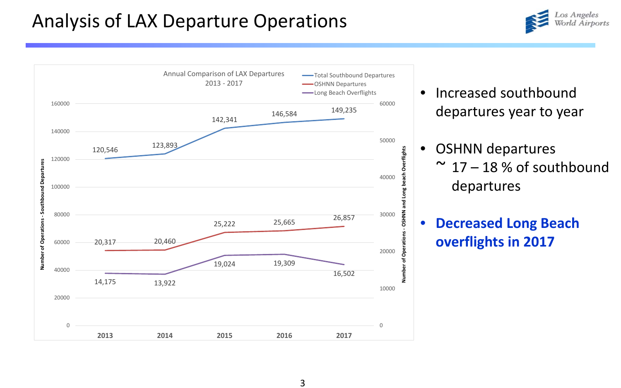# Analysis of LAX Departure Operations



- Increased southbound departures year to year
	- OSHNN departures  $\sim$  17 – 18 % of southbound departures
- **Decreased Long Beach overflights in 2017**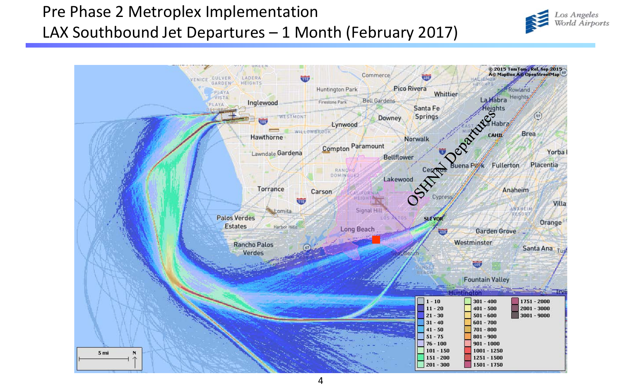### Pre Phase 2 Metroplex Implementation LAX Southbound Jet Departures – 1 Month (February 2017)



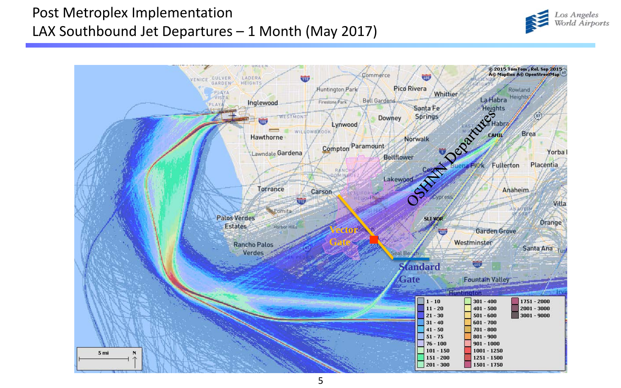#### Post Metroplex Implementation LAX Southbound Jet Departures – 1 Month (May 2017)



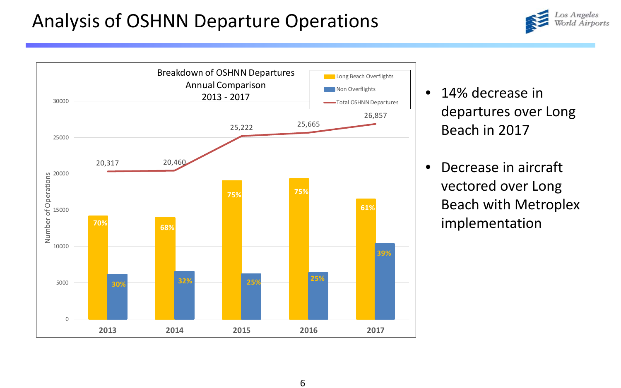# Analysis of OSHNN Departure Operations



- 14% decrease in departures over Long Beach in 2017
- Decrease in aircraft vectored over Long Beach with Metroplex implementation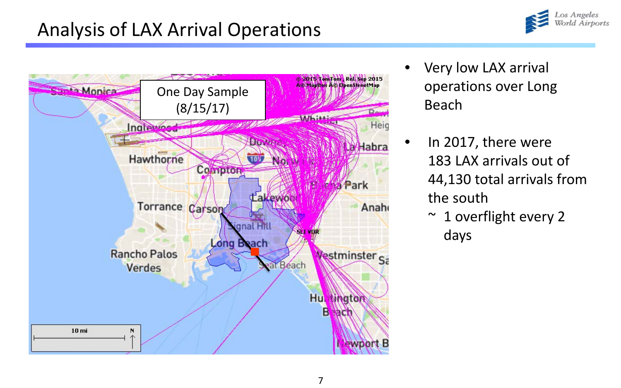# Analysis of LAX Arrival Operations





- Very low LAX arrival operations over Long Beach
	- In 2017, there were 183 LAX arrivals out of 44,130 total arrivals from the south
		- $\sim$  1 overflight every 2 days